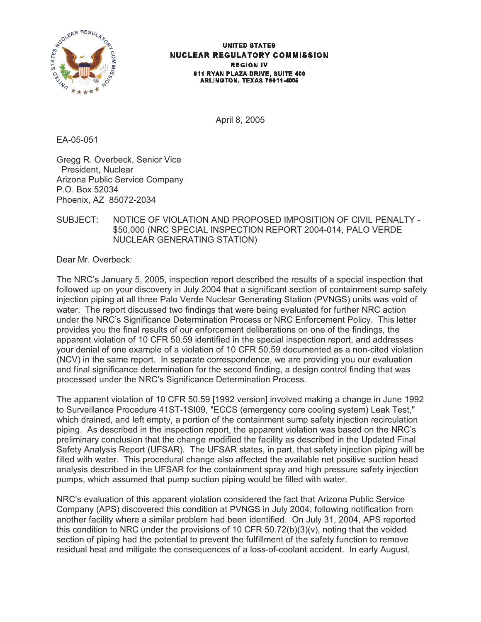

#### **UNITED STATES NUCLEAR REGULATORY COMMISSION REGION IV** 611 RYAN PLAZA DRIVE, SUITE 400 ARLINGTON, TEXAS 76011-4005

April 8, 2005

EA-05-051

Gregg R. Overbeck, Senior Vice President, Nuclear Arizona Public Service Company P.O. Box 52034 Phoenix, AZ 85072-2034

# SUBJECT: NOTICE OF VIOLATION AND PROPOSED IMPOSITION OF CIVIL PENALTY - \$50,000 (NRC SPECIAL INSPECTION REPORT 2004-014, PALO VERDE NUCLEAR GENERATING STATION)

Dear Mr. Overbeck:

The NRC's January 5, 2005, inspection report described the results of a special inspection that followed up on your discovery in July 2004 that a significant section of containment sump safety injection piping at all three Palo Verde Nuclear Generating Station (PVNGS) units was void of water. The report discussed two findings that were being evaluated for further NRC action under the NRC's Significance Determination Process or NRC Enforcement Policy. This letter provides you the final results of our enforcement deliberations on one of the findings, the apparent violation of 10 CFR 50.59 identified in the special inspection report, and addresses your denial of one example of a violation of 10 CFR 50.59 documented as a non-cited violation (NCV) in the same report. In separate correspondence, we are providing you our evaluation and final significance determination for the second finding, a design control finding that was processed under the NRC's Significance Determination Process.

The apparent violation of 10 CFR 50.59 [1992 version] involved making a change in June 1992 to Surveillance Procedure 41ST-1SI09, "ECCS (emergency core cooling system) Leak Test," which drained, and left empty, a portion of the containment sump safety injection recirculation piping. As described in the inspection report, the apparent violation was based on the NRC's preliminary conclusion that the change modified the facility as described in the Updated Final Safety Analysis Report (UFSAR). The UFSAR states, in part, that safety injection piping will be filled with water. This procedural change also affected the available net positive suction head analysis described in the UFSAR for the containment spray and high pressure safety injection pumps, which assumed that pump suction piping would be filled with water.

NRC's evaluation of this apparent violation considered the fact that Arizona Public Service Company (APS) discovered this condition at PVNGS in July 2004, following notification from another facility where a similar problem had been identified. On July 31, 2004, APS reported this condition to NRC under the provisions of 10 CFR  $50.72(b)(3)(v)$ , noting that the voided section of piping had the potential to prevent the fulfillment of the safety function to remove residual heat and mitigate the consequences of a loss-of-coolant accident. In early August,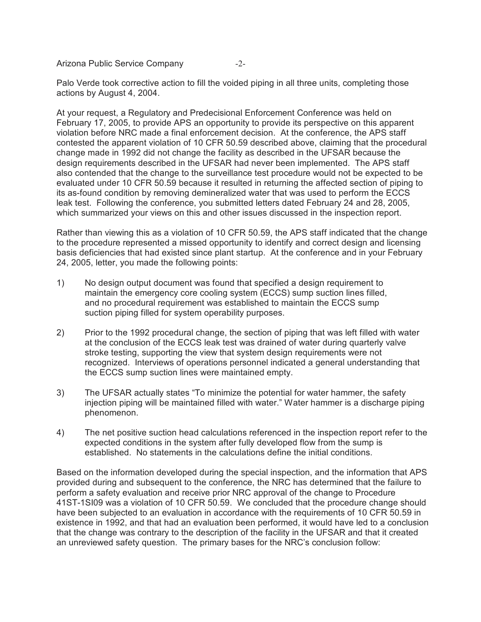Arizona Public Service Company -2-

Palo Verde took corrective action to fill the voided piping in all three units, completing those actions by August 4, 2004.

At your request, a Regulatory and Predecisional Enforcement Conference was held on February 17, 2005, to provide APS an opportunity to provide its perspective on this apparent violation before NRC made a final enforcement decision. At the conference, the APS staff contested the apparent violation of 10 CFR 50.59 described above, claiming that the procedural change made in 1992 did not change the facility as described in the UFSAR because the design requirements described in the UFSAR had never been implemented. The APS staff also contended that the change to the surveillance test procedure would not be expected to be evaluated under 10 CFR 50.59 because it resulted in returning the affected section of piping to its as-found condition by removing demineralized water that was used to perform the ECCS leak test. Following the conference, you submitted letters dated February 24 and 28, 2005, which summarized your views on this and other issues discussed in the inspection report.

Rather than viewing this as a violation of 10 CFR 50.59, the APS staff indicated that the change to the procedure represented a missed opportunity to identify and correct design and licensing basis deficiencies that had existed since plant startup. At the conference and in your February 24, 2005, letter, you made the following points:

- 1) No design output document was found that specified a design requirement to maintain the emergency core cooling system (ECCS) sump suction lines filled, and no procedural requirement was established to maintain the ECCS sump suction piping filled for system operability purposes.
- 2) Prior to the 1992 procedural change, the section of piping that was left filled with water at the conclusion of the ECCS leak test was drained of water during quarterly valve stroke testing, supporting the view that system design requirements were not recognized. Interviews of operations personnel indicated a general understanding that the ECCS sump suction lines were maintained empty.
- 3) The UFSAR actually states "To minimize the potential for water hammer, the safety injection piping will be maintained filled with water." Water hammer is a discharge piping phenomenon.
- 4) The net positive suction head calculations referenced in the inspection report refer to the expected conditions in the system after fully developed flow from the sump is established. No statements in the calculations define the initial conditions.

Based on the information developed during the special inspection, and the information that APS provided during and subsequent to the conference, the NRC has determined that the failure to perform a safety evaluation and receive prior NRC approval of the change to Procedure 41ST-1SI09 was a violation of 10 CFR 50.59. We concluded that the procedure change should have been subjected to an evaluation in accordance with the requirements of 10 CFR 50.59 in existence in 1992, and that had an evaluation been performed, it would have led to a conclusion that the change was contrary to the description of the facility in the UFSAR and that it created an unreviewed safety question. The primary bases for the NRC's conclusion follow: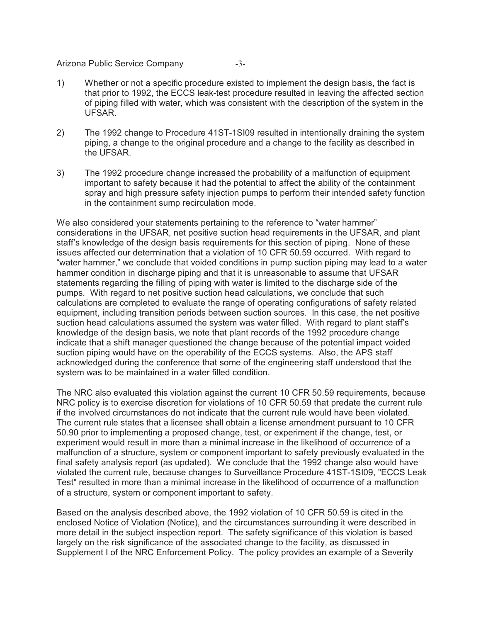## Arizona Public Service Company -3-

- 1) Whether or not a specific procedure existed to implement the design basis, the fact is that prior to 1992, the ECCS leak-test procedure resulted in leaving the affected section of piping filled with water, which was consistent with the description of the system in the UFSAR.
	- 2) The 1992 change to Procedure 41ST-1SI09 resulted in intentionally draining the system piping, a change to the original procedure and a change to the facility as described in the UFSAR.
	- 3) The 1992 procedure change increased the probability of a malfunction of equipment important to safety because it had the potential to affect the ability of the containment spray and high pressure safety injection pumps to perform their intended safety function in the containment sump recirculation mode.

We also considered your statements pertaining to the reference to "water hammer" considerations in the UFSAR, net positive suction head requirements in the UFSAR, and plant staff's knowledge of the design basis requirements for this section of piping. None of these issues affected our determination that a violation of 10 CFR 50.59 occurred. With regard to "water hammer," we conclude that voided conditions in pump suction piping may lead to a water hammer condition in discharge piping and that it is unreasonable to assume that UFSAR statements regarding the filling of piping with water is limited to the discharge side of the pumps. With regard to net positive suction head calculations, we conclude that such calculations are completed to evaluate the range of operating configurations of safety related equipment, including transition periods between suction sources. In this case, the net positive suction head calculations assumed the system was water filled. With regard to plant staff's knowledge of the design basis, we note that plant records of the 1992 procedure change indicate that a shift manager questioned the change because of the potential impact voided suction piping would have on the operability of the ECCS systems. Also, the APS staff acknowledged during the conference that some of the engineering staff understood that the system was to be maintained in a water filled condition.

The NRC also evaluated this violation against the current 10 CFR 50.59 requirements, because NRC policy is to exercise discretion for violations of 10 CFR 50.59 that predate the current rule if the involved circumstances do not indicate that the current rule would have been violated. The current rule states that a licensee shall obtain a license amendment pursuant to 10 CFR 50.90 prior to implementing a proposed change, test, or experiment if the change, test, or experiment would result in more than a minimal increase in the likelihood of occurrence of a malfunction of a structure, system or component important to safety previously evaluated in the final safety analysis report (as updated). We conclude that the 1992 change also would have violated the current rule, because changes to Surveillance Procedure 41ST-1SI09, "ECCS Leak Test" resulted in more than a minimal increase in the likelihood of occurrence of a malfunction of a structure, system or component important to safety.

Based on the analysis described above, the 1992 violation of 10 CFR 50.59 is cited in the enclosed Notice of Violation (Notice), and the circumstances surrounding it were described in more detail in the subject inspection report. The safety significance of this violation is based largely on the risk significance of the associated change to the facility, as discussed in Supplement I of the NRC Enforcement Policy. The policy provides an example of a Severity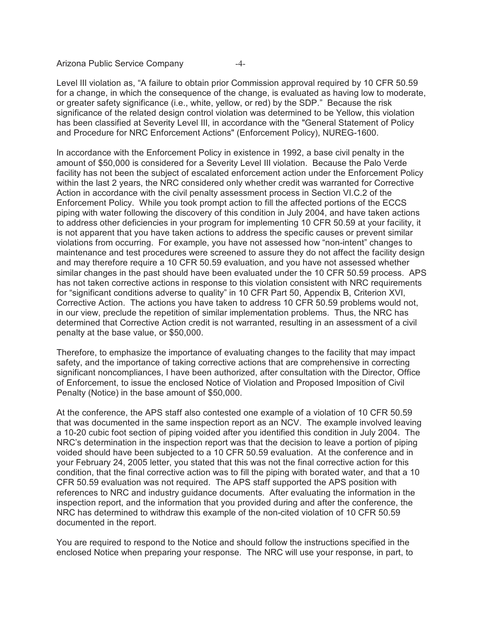Arizona Public Service Company -4-

Level III violation as, "A failure to obtain prior Commission approval required by 10 CFR 50.59 for a change, in which the consequence of the change, is evaluated as having low to moderate, or greater safety significance (i.e., white, yellow, or red) by the SDP." Because the risk significance of the related design control violation was determined to be Yellow, this violation has been classified at Severity Level III, in accordance with the "General Statement of Policy and Procedure for NRC Enforcement Actions" (Enforcement Policy), NUREG-1600.

In accordance with the Enforcement Policy in existence in 1992, a base civil penalty in the amount of \$50,000 is considered for a Severity Level III violation. Because the Palo Verde facility has not been the subject of escalated enforcement action under the Enforcement Policy within the last 2 years, the NRC considered only whether credit was warranted for Corrective Action in accordance with the civil penalty assessment process in Section VI.C.2 of the Enforcement Policy. While you took prompt action to fill the affected portions of the ECCS piping with water following the discovery of this condition in July 2004, and have taken actions to address other deficiencies in your program for implementing 10 CFR 50.59 at your facility, it is not apparent that you have taken actions to address the specific causes or prevent similar violations from occurring. For example, you have not assessed how "non-intent" changes to maintenance and test procedures were screened to assure they do not affect the facility design and may therefore require a 10 CFR 50.59 evaluation, and you have not assessed whether similar changes in the past should have been evaluated under the 10 CFR 50.59 process. APS has not taken corrective actions in response to this violation consistent with NRC requirements for "significant conditions adverse to quality" in 10 CFR Part 50, Appendix B, Criterion XVI, Corrective Action. The actions you have taken to address 10 CFR 50.59 problems would not, in our view, preclude the repetition of similar implementation problems. Thus, the NRC has determined that Corrective Action credit is not warranted, resulting in an assessment of a civil penalty at the base value, or \$50,000.

Therefore, to emphasize the importance of evaluating changes to the facility that may impact safety, and the importance of taking corrective actions that are comprehensive in correcting significant noncompliances, I have been authorized, after consultation with the Director, Office of Enforcement, to issue the enclosed Notice of Violation and Proposed Imposition of Civil Penalty (Notice) in the base amount of \$50,000.

At the conference, the APS staff also contested one example of a violation of 10 CFR 50.59 that was documented in the same inspection report as an NCV. The example involved leaving a 10-20 cubic foot section of piping voided after you identified this condition in July 2004. The NRC's determination in the inspection report was that the decision to leave a portion of piping voided should have been subjected to a 10 CFR 50.59 evaluation. At the conference and in your February 24, 2005 letter, you stated that this was not the final corrective action for this condition, that the final corrective action was to fill the piping with borated water, and that a 10 CFR 50.59 evaluation was not required. The APS staff supported the APS position with references to NRC and industry guidance documents. After evaluating the information in the inspection report, and the information that you provided during and after the conference, the NRC has determined to withdraw this example of the non-cited violation of 10 CFR 50.59 documented in the report.

You are required to respond to the Notice and should follow the instructions specified in the enclosed Notice when preparing your response. The NRC will use your response, in part, to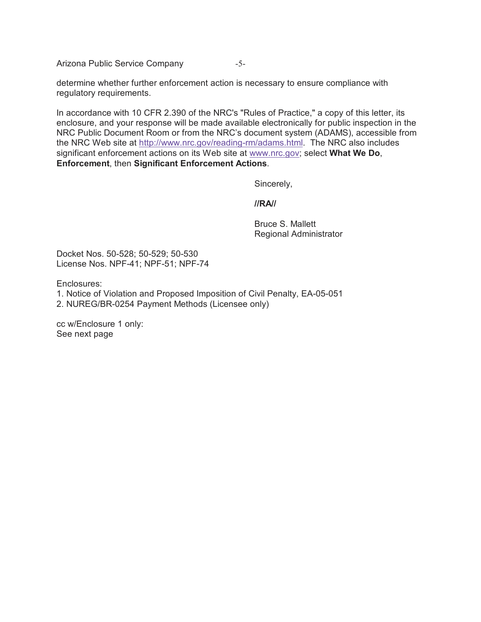Arizona Public Service Company -5-

determine whether further enforcement action is necessary to ensure compliance with regulatory requirements.

In accordance with 10 CFR 2.390 of the NRC's "Rules of Practice," a copy of this letter, its enclosure, and your response will be made available electronically for public inspection in the NRC Public Document Room or from the NRC's document system (ADAMS), accessible from the NRC Web site at http://www.nrc.gov/reading-rm/adams.html. The NRC also includes significant enforcement actions on its Web site at www.nrc.gov; select **What We Do**, **Enforcement**, then **Significant Enforcement Actions**.

Sincerely,

**//RA//**

Bruce S. Mallett Regional Administrator

Docket Nos. 50-528; 50-529; 50-530 License Nos. NPF-41; NPF-51; NPF-74

Enclosures:

- 1. Notice of Violation and Proposed Imposition of Civil Penalty, EA-05-051
- 2. NUREG/BR-0254 Payment Methods (Licensee only)

cc w/Enclosure 1 only: See next page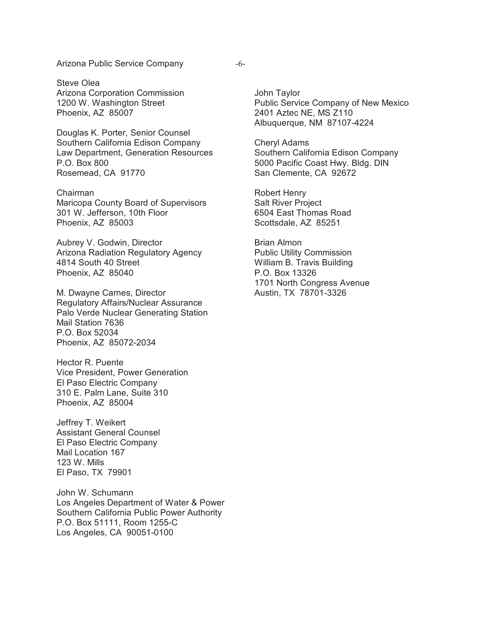#### Arizona Public Service Company -6-

Steve Olea Arizona Corporation Commission 1200 W. Washington Street Phoenix, AZ 85007

Douglas K. Porter, Senior Counsel Southern California Edison Company Law Department, Generation Resources P.O. Box 800 Rosemead, CA 91770

Chairman Maricopa County Board of Supervisors 301 W. Jefferson, 10th Floor Phoenix, AZ 85003

Aubrey V. Godwin, Director Arizona Radiation Regulatory Agency 4814 South 40 Street Phoenix, AZ 85040

M. Dwayne Carnes, Director Regulatory Affairs/Nuclear Assurance Palo Verde Nuclear Generating Station Mail Station 7636 P.O. Box 52034 Phoenix, AZ 85072-2034

Hector R. Puente Vice President, Power Generation El Paso Electric Company 310 E. Palm Lane, Suite 310 Phoenix, AZ 85004

Jeffrey T. Weikert Assistant General Counsel El Paso Electric Company Mail Location 167 123 W. Mills El Paso, TX 79901

John W. Schumann Los Angeles Department of Water & Power Southern California Public Power Authority P.O. Box 51111, Room 1255-C Los Angeles, CA 90051-0100

John Taylor Public Service Company of New Mexico 2401 Aztec NE, MS Z110 Albuquerque, NM 87107-4224

Cheryl Adams Southern California Edison Company 5000 Pacific Coast Hwy. Bldg. DIN San Clemente, CA 92672

Robert Henry Salt River Project 6504 East Thomas Road Scottsdale, AZ 85251

Brian Almon Public Utility Commission William B. Travis Building P.O. Box 13326 1701 North Congress Avenue Austin, TX 78701-3326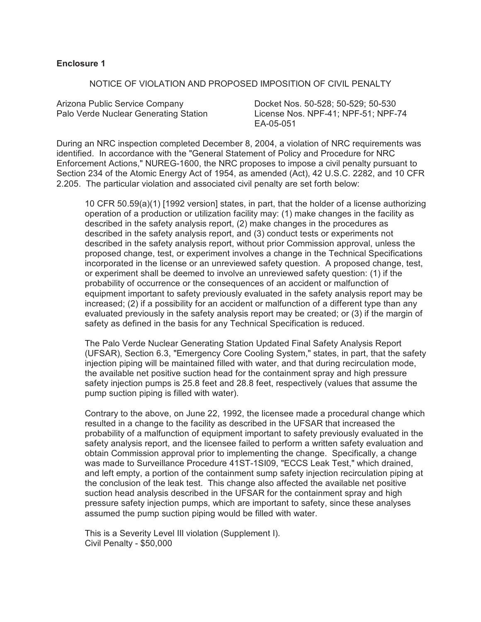## **Enclosure 1**

### NOTICE OF VIOLATION AND PROPOSED IMPOSITION OF CIVIL PENALTY

Arizona Public Service Company Docket Nos. 50-528; 50-529; 50-530

Palo Verde Nuclear Generating Station License Nos. NPF-41; NPF-51; NPF-74 EA-05-051

During an NRC inspection completed December 8, 2004, a violation of NRC requirements was identified. In accordance with the "General Statement of Policy and Procedure for NRC Enforcement Actions," NUREG-1600, the NRC proposes to impose a civil penalty pursuant to Section 234 of the Atomic Energy Act of 1954, as amended (Act), 42 U.S.C. 2282, and 10 CFR 2.205. The particular violation and associated civil penalty are set forth below:

10 CFR 50.59(a)(1) [1992 version] states, in part, that the holder of a license authorizing operation of a production or utilization facility may: (1) make changes in the facility as described in the safety analysis report, (2) make changes in the procedures as described in the safety analysis report, and (3) conduct tests or experiments not described in the safety analysis report, without prior Commission approval, unless the proposed change, test, or experiment involves a change in the Technical Specifications incorporated in the license or an unreviewed safety question. A proposed change, test, or experiment shall be deemed to involve an unreviewed safety question: (1) if the probability of occurrence or the consequences of an accident or malfunction of equipment important to safety previously evaluated in the safety analysis report may be increased; (2) if a possibility for an accident or malfunction of a different type than any evaluated previously in the safety analysis report may be created; or (3) if the margin of safety as defined in the basis for any Technical Specification is reduced.

The Palo Verde Nuclear Generating Station Updated Final Safety Analysis Report (UFSAR), Section 6.3, "Emergency Core Cooling System," states, in part, that the safety injection piping will be maintained filled with water, and that during recirculation mode, the available net positive suction head for the containment spray and high pressure safety injection pumps is 25.8 feet and 28.8 feet, respectively (values that assume the pump suction piping is filled with water).

Contrary to the above, on June 22, 1992, the licensee made a procedural change which resulted in a change to the facility as described in the UFSAR that increased the probability of a malfunction of equipment important to safety previously evaluated in the safety analysis report, and the licensee failed to perform a written safety evaluation and obtain Commission approval prior to implementing the change. Specifically, a change was made to Surveillance Procedure 41ST-1SI09, "ECCS Leak Test," which drained, and left empty, a portion of the containment sump safety injection recirculation piping at the conclusion of the leak test. This change also affected the available net positive suction head analysis described in the UFSAR for the containment spray and high pressure safety injection pumps, which are important to safety, since these analyses assumed the pump suction piping would be filled with water.

This is a Severity Level III violation (Supplement I). Civil Penalty - \$50,000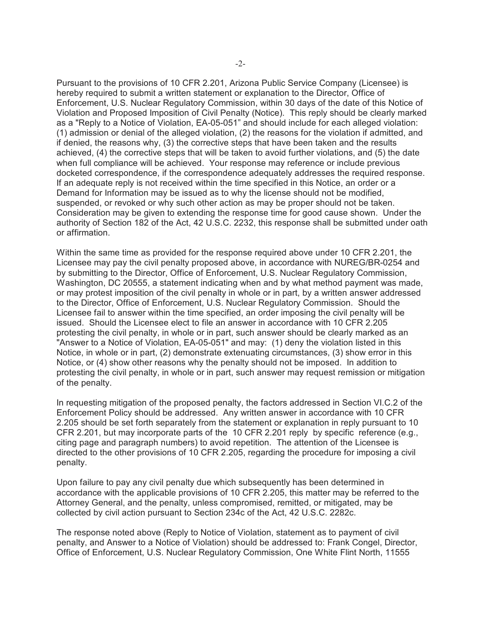Pursuant to the provisions of 10 CFR 2.201, Arizona Public Service Company (Licensee) is hereby required to submit a written statement or explanation to the Director, Office of Enforcement, U.S. Nuclear Regulatory Commission, within 30 days of the date of this Notice of Violation and Proposed Imposition of Civil Penalty (Notice). This reply should be clearly marked as a "Reply to a Notice of Violation, EA-05-051" and should include for each alleged violation: (1) admission or denial of the alleged violation, (2) the reasons for the violation if admitted, and if denied, the reasons why, (3) the corrective steps that have been taken and the results achieved, (4) the corrective steps that will be taken to avoid further violations, and (5) the date when full compliance will be achieved. Your response may reference or include previous docketed correspondence, if the correspondence adequately addresses the required response. If an adequate reply is not received within the time specified in this Notice, an order or a Demand for Information may be issued as to why the license should not be modified, suspended, or revoked or why such other action as may be proper should not be taken. Consideration may be given to extending the response time for good cause shown. Under the authority of Section 182 of the Act, 42 U.S.C. 2232, this response shall be submitted under oath or affirmation.

Within the same time as provided for the response required above under 10 CFR 2.201, the Licensee may pay the civil penalty proposed above, in accordance with NUREG/BR-0254 and by submitting to the Director, Office of Enforcement, U.S. Nuclear Regulatory Commission, Washington, DC 20555, a statement indicating when and by what method payment was made, or may protest imposition of the civil penalty in whole or in part, by a written answer addressed to the Director, Office of Enforcement, U.S. Nuclear Regulatory Commission. Should the Licensee fail to answer within the time specified, an order imposing the civil penalty will be issued. Should the Licensee elect to file an answer in accordance with 10 CFR 2.205 protesting the civil penalty, in whole or in part, such answer should be clearly marked as an "Answer to a Notice of Violation, EA-05-051" and may: (1) deny the violation listed in this Notice, in whole or in part, (2) demonstrate extenuating circumstances, (3) show error in this Notice, or (4) show other reasons why the penalty should not be imposed. In addition to protesting the civil penalty, in whole or in part, such answer may request remission or mitigation of the penalty.

In requesting mitigation of the proposed penalty, the factors addressed in Section VI.C.2 of the Enforcement Policy should be addressed. Any written answer in accordance with 10 CFR 2.205 should be set forth separately from the statement or explanation in reply pursuant to 10 CFR 2.201, but may incorporate parts of the 10 CFR 2.201 reply by specific reference (e.g., citing page and paragraph numbers) to avoid repetition. The attention of the Licensee is directed to the other provisions of 10 CFR 2.205, regarding the procedure for imposing a civil penalty.

Upon failure to pay any civil penalty due which subsequently has been determined in accordance with the applicable provisions of 10 CFR 2.205, this matter may be referred to the Attorney General, and the penalty, unless compromised, remitted, or mitigated, may be collected by civil action pursuant to Section 234c of the Act, 42 U.S.C. 2282c.

The response noted above (Reply to Notice of Violation, statement as to payment of civil penalty, and Answer to a Notice of Violation) should be addressed to: Frank Congel, Director, Office of Enforcement, U.S. Nuclear Regulatory Commission, One White Flint North, 11555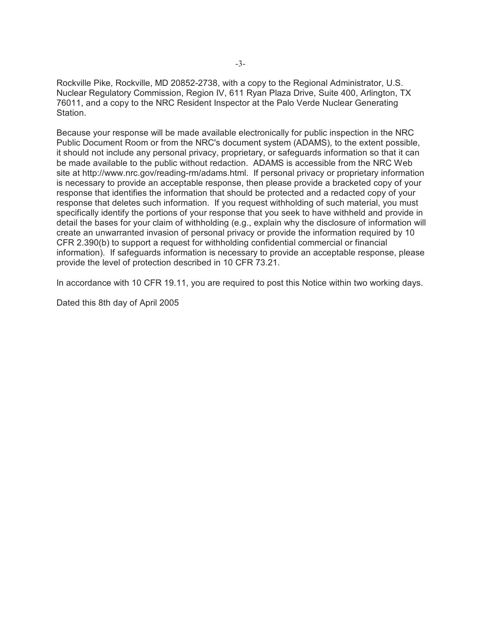Rockville Pike, Rockville, MD 20852-2738, with a copy to the Regional Administrator, U.S. Nuclear Regulatory Commission, Region IV, 611 Ryan Plaza Drive, Suite 400, Arlington, TX 76011, and a copy to the NRC Resident Inspector at the Palo Verde Nuclear Generating Station.

Because your response will be made available electronically for public inspection in the NRC Public Document Room or from the NRC's document system (ADAMS), to the extent possible, it should not include any personal privacy, proprietary, or safeguards information so that it can be made available to the public without redaction. ADAMS is accessible from the NRC Web site at http://www.nrc.gov/reading-rm/adams.html. If personal privacy or proprietary information is necessary to provide an acceptable response, then please provide a bracketed copy of your response that identifies the information that should be protected and a redacted copy of your response that deletes such information. If you request withholding of such material, you must specifically identify the portions of your response that you seek to have withheld and provide in detail the bases for your claim of withholding (e.g., explain why the disclosure of information will create an unwarranted invasion of personal privacy or provide the information required by 10 CFR 2.390(b) to support a request for withholding confidential commercial or financial information). If safeguards information is necessary to provide an acceptable response, please provide the level of protection described in 10 CFR 73.21.

In accordance with 10 CFR 19.11, you are required to post this Notice within two working days.

Dated this 8th day of April 2005